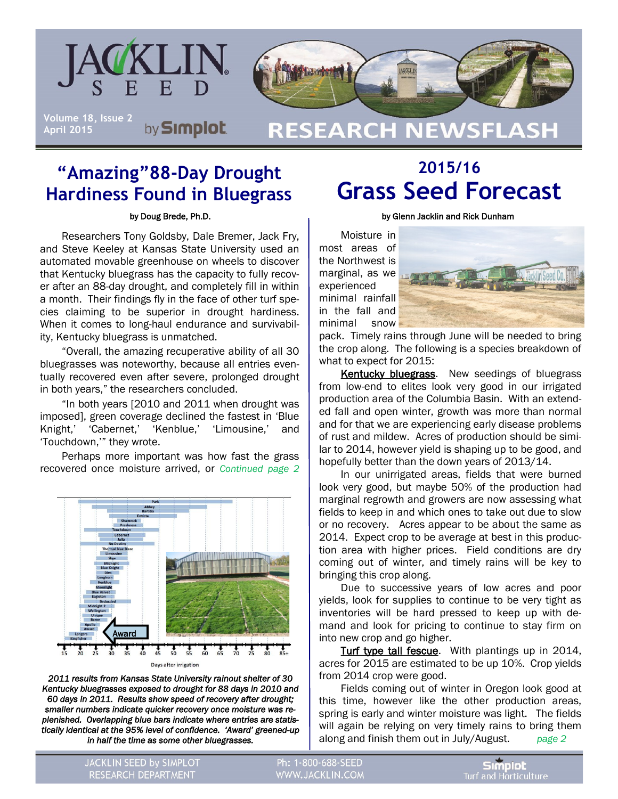

## **"Amazing"88-Day Drought Hardiness Found in Bluegrass**

by Doug Brede, Ph.D.

Researchers Tony Goldsby, Dale Bremer, Jack Fry, and Steve Keeley at Kansas State University used an automated movable greenhouse on wheels to discover that Kentucky bluegrass has the capacity to fully recover after an 88-day drought, and completely fill in within a month. Their findings fly in the face of other turf species claiming to be superior in drought hardiness. When it comes to long-haul endurance and survivability, Kentucky bluegrass is unmatched.

"Overall, the amazing recuperative ability of all 30 bluegrasses was noteworthy, because all entries eventually recovered even after severe, prolonged drought in both years," the researchers concluded.

"In both years [2010 and 2011 when drought was imposed], green coverage declined the fastest in 'Blue Knight,' 'Cabernet,' 'Kenblue,' 'Limousine,' and 'Touchdown,'" they wrote.

Perhaps more important was how fast the grass recovered once moisture arrived, or *Continued page 2* 



*2011 results from Kansas State University rainout shelter of 30 Kentucky bluegrasses exposed to drought for 88 days in 2010 and 60 days in 2011. Results show speed of recovery after drought; smaller numbers indicate quicker recovery once moisture was replenished. Overlapping blue bars indicate where entries are statistically identical at the 95% level of confidence. 'Award' greened-up in half the time as some other bluegrasses.* 

# **2015/16 Grass Seed Forecast**

by Glenn Jacklin and Rick Dunham

Moisture in most areas of the Northwest is marginal, as we experienced minimal rainfall in the fall and minimal snow



pack. Timely rains through June will be needed to bring the crop along. The following is a species breakdown of what to expect for 2015:

Kentucky bluegrass. New seedings of bluegrass from low-end to elites look very good in our irrigated production area of the Columbia Basin. With an extended fall and open winter, growth was more than normal and for that we are experiencing early disease problems of rust and mildew. Acres of production should be similar to 2014, however yield is shaping up to be good, and hopefully better than the down years of 2013/14.

In our unirrigated areas, fields that were burned look very good, but maybe 50% of the production had marginal regrowth and growers are now assessing what fields to keep in and which ones to take out due to slow or no recovery. Acres appear to be about the same as 2014. Expect crop to be average at best in this production area with higher prices. Field conditions are dry coming out of winter, and timely rains will be key to bringing this crop along.

Due to successive years of low acres and poor yields, look for supplies to continue to be very tight as inventories will be hard pressed to keep up with demand and look for pricing to continue to stay firm on into new crop and go higher.

Turf type tall fescue. With plantings up in 2014, acres for 2015 are estimated to be up 10%. Crop yields from 2014 crop were good.

Fields coming out of winter in Oregon look good at this time, however like the other production areas, spring is early and winter moisture was light. The fields will again be relying on very timely rains to bring them along and finish them out in July/August. *page 2* 

JACKLIN SEED by SIMPLOT RESEARCH DEPARTMENT

Ph: 1-800-688-SEED WWW.JACKLIN.COM